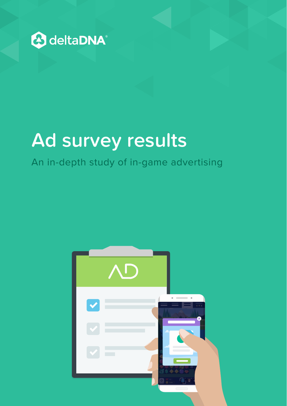

# **Ad survey results**

## An in-depth study of in-game advertising

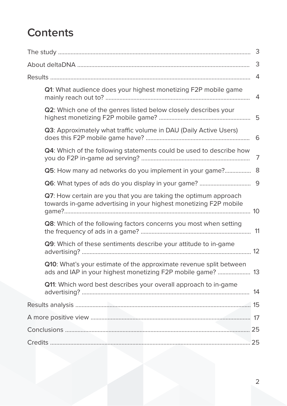## **Contents**

|                                                                                                                                       | 3              |
|---------------------------------------------------------------------------------------------------------------------------------------|----------------|
|                                                                                                                                       | $\overline{4}$ |
| Q1: What audience does your highest monetizing F2P mobile game                                                                        | 4              |
| Q2: Which one of the genres listed below closely describes your                                                                       |                |
| Q3: Approximately what traffic volume in DAU (Daily Active Users)                                                                     |                |
| Q4: Which of the following statements could be used to describe how                                                                   | 7              |
| Q5: How many ad networks do you implement in your game?                                                                               | 8              |
|                                                                                                                                       |                |
| Q7: How certain are you that you are taking the optimum approach<br>towards in-game advertising in your highest monetizing F2P mobile |                |
| Q8: Which of the following factors concerns you most when setting                                                                     |                |
| Q9: Which of these sentiments describe your attitude to in-game                                                                       |                |
| Q10: What's your estimate of the approximate revenue split between<br>ads and IAP in your highest monetizing F2P mobile game?  13     |                |
| Q11: Which word best describes your overall approach to in-game                                                                       |                |
|                                                                                                                                       |                |
|                                                                                                                                       |                |
|                                                                                                                                       |                |
|                                                                                                                                       |                |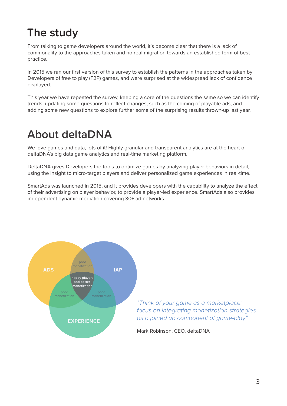## **The study**

From talking to game developers around the world, it's become clear that there is a lack of commonality to the approaches taken and no real migration towards an established form of bestpractice.

In 2015 we ran our first version of this survey to establish the patterns in the approaches taken by Developers of free to play (F2P) games, and were surprised at the widespread lack of confidence displayed.

This year we have repeated the survey, keeping a core of the questions the same so we can identify trends, updating some questions to reflect changes, such as the coming of playable ads, and adding some new questions to explore further some of the surprising results thrown-up last year.

## **About deltaDNA**

We love games and data, lots of it! Highly granular and transparent analytics are at the heart of deltaDNA's big data game analytics and real-time marketing platform.

DeltaDNA gives Developers the tools to optimize games by analyzing player behaviors in detail, using the insight to micro-target players and deliver personalized game experiences in real-time.

SmartAds was launched in 2015, and it provides developers with the capability to analyze the effect of their advertising on player behavior, to provide a player-led experience. SmartAds also provides independent dynamic mediation covering 30+ ad networks.



*"Think of your game as a marketplace: focus on integrating monetization strategies as a joined up component of game-play"*

Mark Robinson, CEO, deltaDNA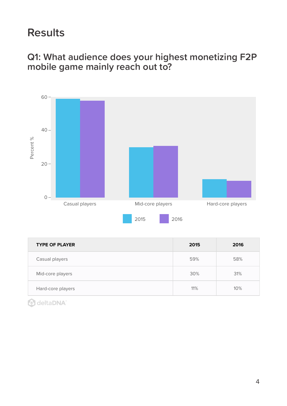## **Results**

## **Q1: What audience does your highest monetizing F2P mobile game mainly reach out to?**



| <b>TYPE OF PLAYER</b> | 2015 | 2016 |
|-----------------------|------|------|
| Casual players        | 59%  | 58%  |
| Mid-core players      | 30%  | 31%  |
| Hard-core players     | 11%  | 10%  |

**A** deltaDNA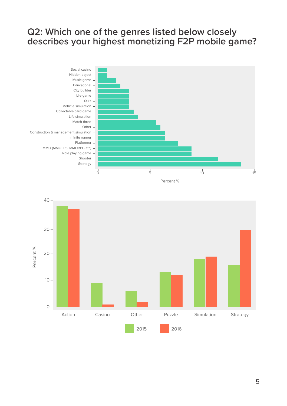### **Q2: Which one of the genres listed below closely describes your highest monetizing F2P mobile game?**



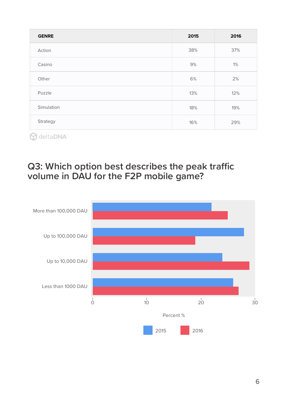| <b>GENRE</b> | 2015 | 2016 |
|--------------|------|------|
| Action       | 38%  | 37%  |
| Casino       | 9%   | 1%   |
| Other        | 6%   | 2%   |
| Puzzle       | 13%  | 12%  |
| Simulation   | 18%  | 19%  |
| Strategy     | 16%  | 29%  |

## **Q3: Which option best describes the peak traffic volume in DAU for the F2P mobile game?**

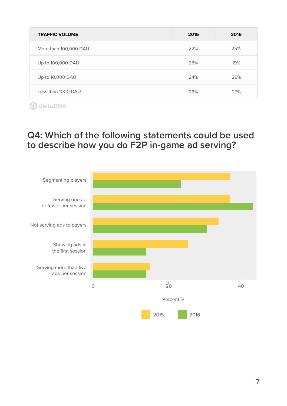| <b>TRAFFIC VOLUME</b> | 2015 | 2016 |
|-----------------------|------|------|
| More than 100,000 DAU | 22%  | 25%  |
| Up to 100,000 DAU     | 28%  | 19%  |
| Up to 10,000 DAU      | 24%  | 29%  |
| Less than 1000 DAU    | 26%  | 27%  |

## **Q4: Which of the following statements could be used to describe how you do F2P in-game ad serving?**

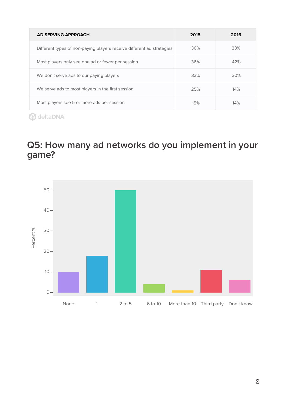| <b>AD SERVING APPROACH</b>                                            | 2015 | 2016 |
|-----------------------------------------------------------------------|------|------|
| Different types of non-paying players receive different ad strategies | 36%  | 23%  |
| Most players only see one ad or fewer per session                     | 36%  | 42%  |
| We don't serve ads to our paying players                              | 33%  | 30%  |
| We serve ads to most players in the first session                     | 25%  | 14%  |
| Most players see 5 or more ads per session                            | 15%  | 14%  |

## **Q5: How many ad networks do you implement in your game?**

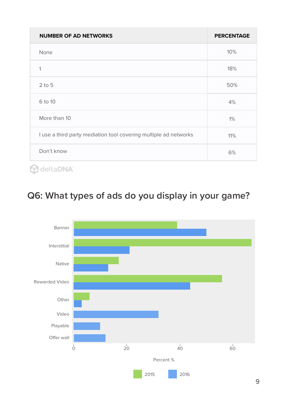| <b>NUMBER OF AD NETWORKS</b>                                     | <b>PERCENTAGE</b> |
|------------------------------------------------------------------|-------------------|
| None                                                             | 10%               |
| 1                                                                | 18%               |
| $2$ to $5$                                                       | 50%               |
| 6 to 10                                                          | 4%                |
| More than 10                                                     | 1%                |
| I use a third party mediation tool covering multiple ad networks | 11%               |
| Don't know                                                       | 6%                |
| delta <b>DNA</b> ®                                               |                   |

**Q6: What types of ads do you display in your game?**

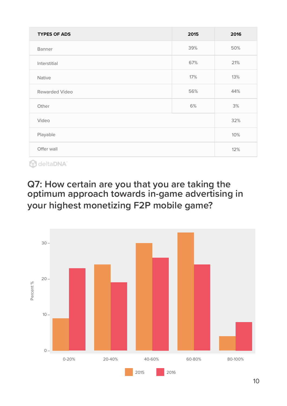| <b>TYPES OF ADS</b>   | 2015 | 2016 |
|-----------------------|------|------|
| Banner                | 39%  | 50%  |
| Interstitial          | 67%  | 21%  |
| Native                | 17%  | 13%  |
| <b>Rewarded Video</b> | 56%  | 44%  |
| Other                 | 6%   | 3%   |
| Video                 |      | 32%  |
| Playable              |      | 10%  |
| Offer wall            |      | 12%  |

## **Q7: How certain are you that you are taking the optimum approach towards in-game advertising in your highest monetizing F2P mobile game?**

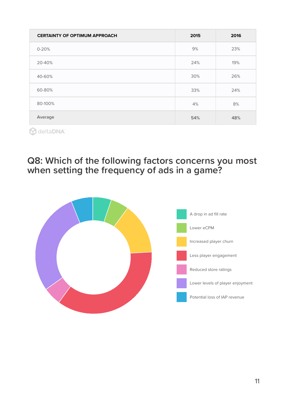| <b>CERTAINTY OF OPTIMUM APPROACH</b> | 2015 | 2016 |
|--------------------------------------|------|------|
| $0 - 20%$                            | 9%   | 23%  |
| 20-40%                               | 24%  | 19%  |
| 40-60%                               | 30%  | 26%  |
| 60-80%                               | 33%  | 24%  |
| 80-100%                              | 4%   | 8%   |
| Average                              | 54%  | 48%  |
| deltaDNA®<br>$\mathcal{L}$           |      |      |

**Q8: Which of the following factors concerns you most when setting the frequency of ads in a game?**

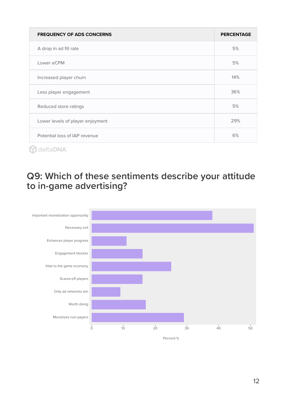| <b>FREQUENCY OF ADS CONCERNS</b> | <b>PERCENTAGE</b> |
|----------------------------------|-------------------|
| A drop in ad fill rate           | 5%                |
| Lower eCPM                       | 5%                |
| Increased player churn           | 14%               |
| Less player engagement           | 36%               |
| Reduced store ratings            | 5%                |
| Lower levels of player enjoyment | 29%               |
| Potential loss of IAP revenue    | 6%                |
| leita <b>DNA</b>                 |                   |

**Q9: Which of these sentiments describe your attitude to in-game advertising?**

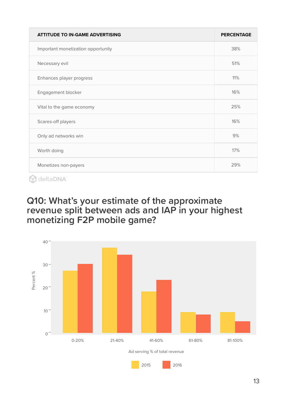| <b>ATTITUDE TO IN-GAME ADVERTISING</b> | <b>PERCENTAGE</b> |
|----------------------------------------|-------------------|
| Important monetization opportunity     | 38%               |
| Necessary evil                         | 51%               |
| Enhances player progress               | 11%               |
| Engagement blocker                     | 16%               |
| Vital to the game economy              | 25%               |
| Scares-off players                     | 16%               |
| Only ad networks win                   | 9%                |
| Worth doing                            | 17%               |
| Monetizes non-payers                   | 29%               |

### **Q10: What's your estimate of the approximate revenue split between ads and IAP in your highest monetizing F2P mobile game?**

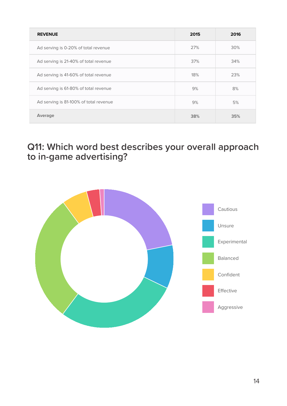| <b>REVENUE</b>                         | 2015 | 2016 |
|----------------------------------------|------|------|
| Ad serving is 0-20% of total revenue   | 27%  | 30%  |
| Ad serving is 21-40% of total revenue  | 37%  | 34%  |
| Ad serving is 41-60% of total revenue  | 18%  | 23%  |
| Ad serving is 61-80% of total revenue  | 9%   | 8%   |
| Ad serving is 81-100% of total revenue | 9%   | 5%   |
| Average                                | 38%  | 35%  |

## **Q11: Which word best describes your overall approach to in-game advertising?**

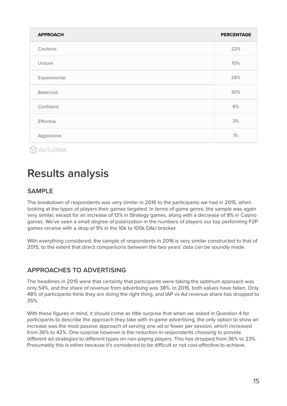| <b>APPROACH</b> | <b>PERCENTAGE</b> |
|-----------------|-------------------|
| Cautious        | 22%               |
| Unsure          | 10%               |
| Experimental    | 28%               |
| Balanced        | 30%               |
| Confident       | 6%                |
| Effective       | 3%                |
| Aggressive      | 1%                |

## **Results analysis**

#### **SAMPLE**

The breakdown of respondents was very similar in 2016 to the participants we had in 2015, when looking at the types of players their games targeted. In terms of game genre, the sample was again very similar, except for an increase of 13% in Strategy games, along with a decrease of 8% in Casino games. We've seen a small degree of polarization in the numbers of players our top performing F2P games receive with a drop of 9% in the 10k to 100k DAU bracket.

With everything considered, the sample of respondents in 2016 is very similar constructed to that of 2015, to the extent that direct comparisons between the two years' data can be soundly made.

#### **APPROACHES TO ADVERTISING**

The headlines in 2015 were that certainty that participants were taking the optimum approach was only 54%, and the share of revenue from advertising was 38%. In 2016, both values have fallen. Only 48% of participants think they are doing the right thing, and IAP vs Ad revenue share has dropped to 35%.

With these figures in mind, it should come as little surprise that when we asked in Question 4 for participants to describe the approach they take with in-game advertising, the only option to show an increase was the most passive approach of serving one ad or fewer per session, which increased from 36% to 42%. One surprise however is the reduction in respondents choosing to provide different ad strategies to different types on non-paying players. This has dropped from 36% to 23%. Presumably this is either because it's considered to be difficult or not cost-effective to achieve.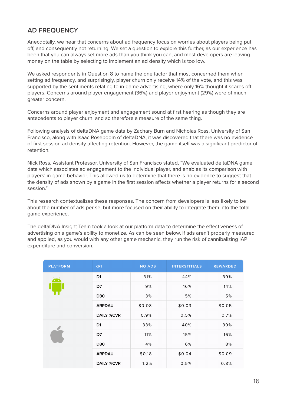#### **AD FREQUENCY**

Anecdotally, we hear that concerns about ad frequency focus on worries about players being put off, and consequently not returning. We set a question to explore this further, as our experience has been that you can always set more ads than you think you can, and most developers are leaving money on the table by selecting to implement an ad density which is too low.

We asked respondents in Question 8 to name the one factor that most concerned them when setting ad frequency, and surprisingly, player churn only receive 14% of the vote, and this was supported by the sentiments relating to in-game advertising, where only 16% thought it scares off players. Concerns around player engagement (36%) and player enjoyment (29%) were of much greater concern.

Concerns around player enjoyment and engagement sound at first hearing as though they are antecedents to player churn, and so therefore a measure of the same thing.

Following analysis of deltaDNA game data by Zachary Burn and Nicholas Ross, University of San Francisco, along with Isaac Roseboom of deltaDNA, it was discovered that there was no evidence of first session ad density affecting retention. However, the game itself was a significant predictor of retention.

Nick Ross, Assistant Professor, University of San Francisco stated, "We evaluated deltaDNA game data which associates ad engagement to the individual player, and enables its comparison with players' in-game behavior. This allowed us to determine that there is no evidence to suggest that the density of ads shown by a game in the first session affects whether a player returns for a second session"

This research contextualizes these responses. The concern from developers is less likely to be about the number of ads per se, but more focused on their ability to integrate them into the total game experience.

The deltaDNA Insight Team took a look at our platform data to determine the effectiveness of advertising on a game's ability to monetize. As can be seen below, if ads aren't properly measured and applied, as you would with any other game mechanic, they run the risk of cannibalizing IAP expenditure and conversion.

| <b>PLATFORM</b> | <b>KPI</b>        | <b>NO ADS</b> | <b>INTERSTITIALS</b> | <b>REWARDED</b> |
|-----------------|-------------------|---------------|----------------------|-----------------|
|                 | D <sub>1</sub>    | 31%           | 44%                  | 39%             |
|                 | D7                | 9%            | 16%                  | 14%             |
|                 | D30               | 3%            | 5%                   | 5%              |
|                 | <b>ARPDAU</b>     | \$0.08        | \$0.03               | \$0.05          |
|                 | <b>DAILY %CVR</b> | 0.9%          | 0.5%                 | 0.7%            |
|                 | D1                | 33%           | 40%                  | 39%             |
|                 | D7                | 11%           | 15%                  | 16%             |
|                 | D30               | 4%            | 6%                   | 8%              |
|                 | <b>ARPDAU</b>     | \$0.18        | \$0.04               | \$0.09          |
|                 | <b>DAILY %CVR</b> | 1.2%          | 0.5%                 | 0.8%            |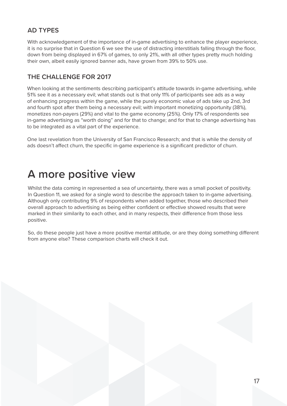#### **AD TYPES**

With acknowledgement of the importance of in-game advertising to enhance the player experience, it is no surprise that in Question 6 we see the use of distracting interstitials falling through the floor, down from being displayed in 67% of games, to only 21%, with all other types pretty much holding their own, albeit easily ignored banner ads, have grown from 39% to 50% use.

#### **THE CHALLENGE FOR 2017**

When looking at the sentiments describing participant's attitude towards in-game advertising, while 51% see it as a necessary evil; what stands out is that only 11% of participants see ads as a way of enhancing progress within the game, while the purely economic value of ads take up 2nd, 3rd and fourth spot after them being a necessary evil; with important monetizing opportunity (38%), monetizes non-payers (29%) and vital to the game economy (25%). Only 17% of respondents see in-game advertising as "worth doing" and for that to change; and for that to change advertising has to be integrated as a vital part of the experience.

One last revelation from the University of San Francisco Research; and that is while the density of ads doesn't affect churn, the specific in-game experience is a significant predictor of churn.

## **A more positive view**

Whilst the data coming in represented a sea of uncertainty, there was a small pocket of positivity. In Question 11, we asked for a single word to describe the approach taken to in-game advertising. Although only contributing 9% of respondents when added together, those who described their overall approach to advertising as being either confident or effective showed results that were marked in their similarity to each other, and in many respects, their difference from those less positive.

So, do these people just have a more positive mental attitude, or are they doing something different from anyone else? These comparison charts will check it out.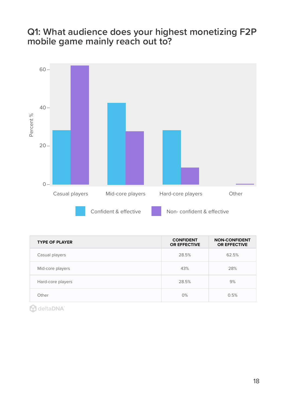## **Q1: What audience does your highest monetizing F2P mobile game mainly reach out to?**



| <b>TYPE OF PLAYER</b> | <b>CONFIDENT</b><br><b>OR EFFECTIVE</b> | <b>NON-CONFIDENT</b><br><b>OR EFFECTIVE</b> |
|-----------------------|-----------------------------------------|---------------------------------------------|
| Casual players        | 28.5%                                   | 62.5%                                       |
| Mid-core players      | 43%                                     | 28%                                         |
| Hard-core players     | 28.5%                                   | 9%                                          |
| Other                 | 0%                                      | 0.5%                                        |

**A** deltaDNA<sup>®</sup>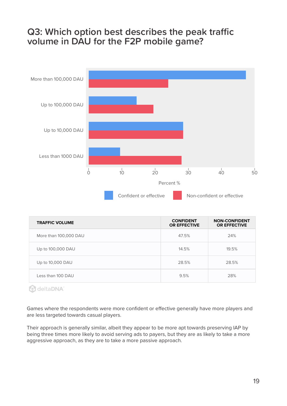### **Q3: Which option best describes the peak traffic volume in DAU for the F2P mobile game?**



| <b>TRAFFIC VOLUME</b> | <b>CONFIDENT</b><br><b>OR EFFECTIVE</b> | <b>NON-CONFIDENT</b><br><b>OR EFFECTIVE</b> |
|-----------------------|-----------------------------------------|---------------------------------------------|
| More than 100,000 DAU | 47.5%                                   | 24%                                         |
| Up to 100,000 DAU     | 14.5%                                   | 19.5%                                       |
| Up to 10,000 DAU      | 28.5%                                   | 28.5%                                       |
| Less than 100 DAU     | 9.5%                                    | 28%                                         |

**A** deltaDNA®

Games where the respondents were more confident or effective generally have more players and are less targeted towards casual players.

Their approach is generally similar, albeit they appear to be more apt towards preserving IAP by being three times more likely to avoid serving ads to payers, but they are as likely to take a more aggressive approach, as they are to take a more passive approach.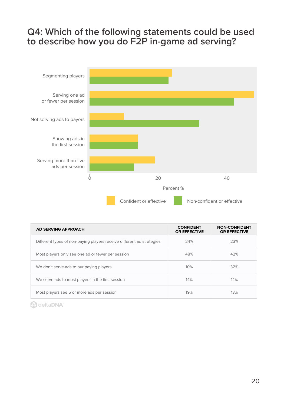## **Q4: Which of the following statements could be used to describe how you do F2P in-game ad serving?**



| <b>AD SERVING APPROACH</b>                                            | <b>CONFIDENT</b><br><b>OR EFFECTIVE</b> | <b>NON-CONFIDENT</b><br><b>OR EFFECTIVE</b> |
|-----------------------------------------------------------------------|-----------------------------------------|---------------------------------------------|
| Different types of non-paying players receive different ad strategies | 24%                                     | 23%                                         |
| Most players only see one ad or fewer per session                     | 48%                                     | 42%                                         |
| We don't serve ads to our paying players                              | 10%                                     | 32%                                         |
| We serve ads to most players in the first session                     | 14%                                     | 14%                                         |
| Most players see 5 or more ads per session                            | 19%                                     | 13%                                         |

**A** deltaDNA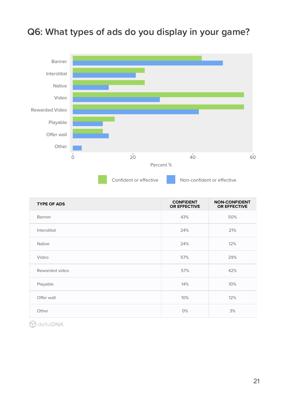

|  |  |  |  |  |  | Q6: What types of ads do you display in your game? |  |  |  |
|--|--|--|--|--|--|----------------------------------------------------|--|--|--|
|--|--|--|--|--|--|----------------------------------------------------|--|--|--|

| <b>TYPE OF ADS</b> | <b>CONFIDENT</b><br><b>OR EFFECTIVE</b> | <b>NON-CONFIDENT</b><br><b>OR EFFECTIVE</b> |
|--------------------|-----------------------------------------|---------------------------------------------|
| Banner             | 43%                                     | 50%                                         |
| Interstitial       | 24%                                     | 21%                                         |
| <b>Native</b>      | 24%                                     | 12%                                         |
| Video              | 57%                                     | 29%                                         |
| Rewarded video     | 57%                                     | 42%                                         |
| Playable           | 14%                                     | 10%                                         |
| Offer wall         | 10%                                     | 12%                                         |
| Other              | 0%                                      | 3%                                          |

**A** deltaDNA<sup>®</sup>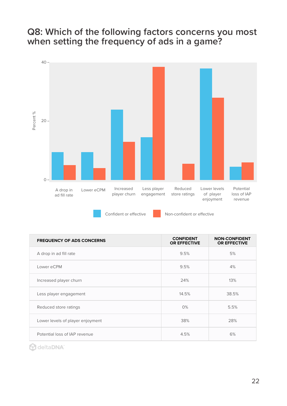### **Q8: Which of the following factors concerns you most when setting the frequency of ads in a game?**



Confident or effective Non-confident or effective

| <b>FREQUENCY OF ADS CONCERNS</b> | <b>CONFIDENT</b><br><b>OR EFFECTIVE</b> | <b>NON-CONFIDENT</b><br><b>OR EFFECTIVE</b> |
|----------------------------------|-----------------------------------------|---------------------------------------------|
| A drop in ad fill rate           | 9.5%                                    | 5%                                          |
| Lower eCPM                       | 9.5%                                    | 4%                                          |
| Increased player churn           | 24%                                     | 13%                                         |
| Less player engagement           | 14.5%                                   | 38.5%                                       |
| Reduced store ratings            | $0\%$                                   | 5.5%                                        |
| Lower levels of player enjoyment | 38%                                     | 28%                                         |
| Potential loss of IAP revenue    | 4.5%                                    | 6%                                          |

**A** deltaDNA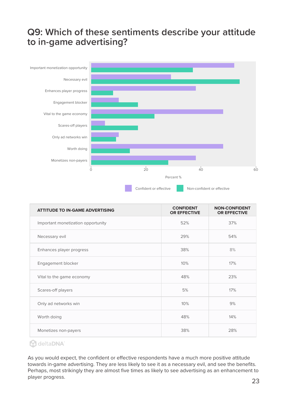### **Q9: Which of these sentiments describe your attitude to in-game advertising?**



| <b>ATTITUDE TO IN-GAME ADVERTISING</b> | <b>CONFIDENT</b><br><b>OR EFFECTIVE</b> | <b>NON-CONFIDENT</b><br><b>OR EFFECTIVE</b> |
|----------------------------------------|-----------------------------------------|---------------------------------------------|
| Important monetization opportunity     | 52%                                     | 37%                                         |
| Necessary evil                         | 29%                                     | 54%                                         |
| Enhances player progress               | 38%                                     | 8%                                          |
| Engagement blocker                     | 10%                                     | 17%                                         |
| Vital to the game economy              | 48%                                     | 23%                                         |
| Scares-off players                     | 5%                                      | 17%                                         |
| Only ad networks win                   | 10%                                     | 9%                                          |
| Worth doing                            | 48%                                     | 14%                                         |
| Monetizes non-payers                   | 38%                                     | 28%                                         |

#### **A** deltaDNA

As you would expect, the confident or effective respondents have a much more positive attitude towards in-game advertising. They are less likely to see it as a necessary evil, and see the benefits. Perhaps, most strikingly they are almost five times as likely to see advertising as an enhancement to player progress.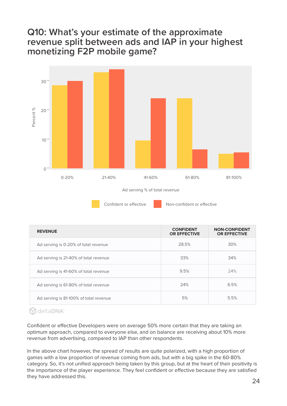### **Q10: What's your estimate of the approximate revenue split between ads and IAP in your highest monetizing F2P mobile game?**



Confident or effective Non-confident or effective

| <b>REVENUE</b>                         | <b>CONFIDENT</b><br><b>OR EFFECTIVE</b> | <b>NON-CONFIDENT</b><br><b>OR EFFECTIVE</b> |
|----------------------------------------|-----------------------------------------|---------------------------------------------|
| Ad serving is 0-20% of total revenue   | 28.5%                                   | 30%                                         |
| Ad serving is 21-40% of total revenue  | 33%                                     | 34%                                         |
| Ad serving is 41-60% of total revenue  | 9.5%                                    | 24%                                         |
| Ad serving is 61-80% of total revenue  | 24%                                     | 6.5%                                        |
| Ad serving is 81-100% of total revenue | 5%                                      | 5.5%                                        |

#### **A** deltaDNA

Confident or effective Developers were on average 50% more certain that they are taking an optimum approach, compared to everyone else, and on balance are receiving about 10% more revenue from advertising, compared to IAP than other respondents.

In the above chart however, the spread of results are quite polarized, with a high proportion of games with a low proportion of revenue coming from ads, but with a big spike in the 60-80% category. So, it's not unified approach being taken by this group, but at the heart of their positivity is the importance of the player experience. They feel confident or effective because they are satisfied they have addressed this.